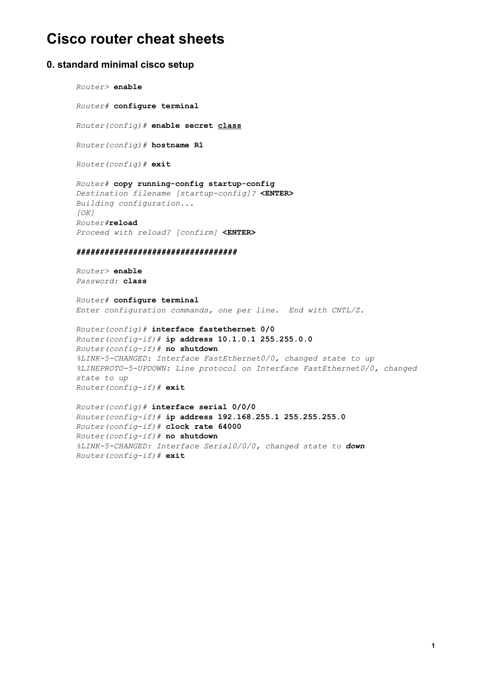# **Cisco router cheat sheets**

### **0. standard minimal cisco setup**

#### *Router>* **enable**

*Router#* **configure terminal**

*Router(config)#* **enable secret class**

*Router(config)#* **hostname R1**

*Router(config)#* **exit**

 $Router#$  copy running-config startup-config *Destination filename [startupconfig]?* **<ENTER>** *Building configuration... [OK] Router#***reload** *Proceed with reload? [confirm]* **<ENTER>**

#### *##################################*

*Router>* **enable** *Password:* **class**

*Router#* **configure terminal** *Enter configuration commands, one per line. End with CNTL/Z.*

*Router(config)#* **interface fastethernet 0/0** *Router(configif)#* **ip address 10.1.0.1 255.255.0.0** *Router(configif)#* **no shutdown** *%LINK5CHANGED: Interface FastEthernet0/0, changed state to up %LINEPROTO5UPDOWN: Line protocol on Interface FastEthernet0/0, changed state to up Router(configif)#* **exit**

*Router(config)#* **interface serial 0/0/0** *Router(configif)#* **ip address 192.168.255.1 255.255.255.0** *Router(configif)#* **clock rate 64000** *Router(configif)#* **no shutdown** *%LINK5CHANGED: Interface Serial0/0/0, changed state to down Router(configif)#* **exit**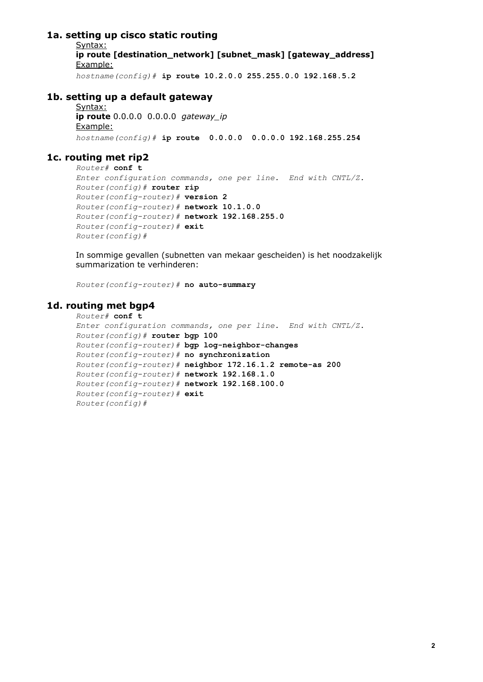# **1a. setting up cisco static routing**

Syntax: **ip route [destination\_network] [subnet\_mask] [gateway\_address]** Example:

*hostname(config)#* **ip route 10.2.0.0 255.255.0.0 192.168.5.2**

# **1b. setting up a default gateway**

Syntax: **ip route** 0.0.0.0 0.0.0.0 *gateway\_ip* Example: *hostname(config)#* **ip route 0.0.0.0 0.0.0.0 192.168.255.254**

# **1c. routing met rip2**

```
Router# conf t
Enter configuration commands, one per line. End with CNTL/Z.
Router(config)# router rip
Router(configrouter)# version 2
Router(configrouter)# network 10.1.0.0
Router(configrouter)# network 192.168.255.0
Router(config-router)# exit
Router(config)#
```
In sommige gevallen (subnetten van mekaar gescheiden) is het noodzakelijk summarization te verhinderen:

*Router(config-router)* # no auto-summary

### **1d. routing met bgp4**

```
Router# conf t
Enter configuration commands, one per line. End with CNTL/Z.
Router(config)# router bgp 100
Router(config-router)# bgp log-neighbor-changes
Router(configrouter)# no synchronization
Router(config-counter) # neighbor 172.16.1.2 remote-as 200
Router(configrouter)# network 192.168.1.0
Router(configrouter)# network 192.168.100.0
Router(config-router) # exit
Router(config)#
```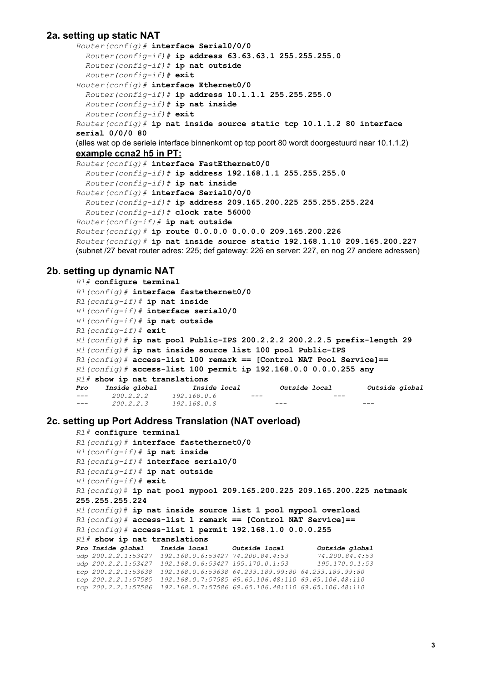### **2a. setting up static NAT**

```
Router(config)# interface Serial0/0/0
  Router(configif)# ip address 63.63.63.1 255.255.255.0
  Router(configif)# ip nat outside
  Router(configif)# exit
Router(config)# interface Ethernet0/0
  Router(configif)# ip address 10.1.1.1 255.255.255.0
  Router(configif)# ip nat inside
  Router(configif)# exit
Router(config)# ip nat inside source static tcp 10.1.1.2 80 interface
serial 0/0/0 80
(alles wat op de seriele interface binnenkomt op tcp poort 80 wordt doorgestuurd naar 10.1.1.2)
example ccna2 h5 in PT:
Router(config)# interface FastEthernet0/0
  Router(configif)# ip address 192.168.1.1 255.255.255.0
  Router(configif)# ip nat inside
Router(config)# interface Serial0/0/0
 Router(configif)# ip address 209.165.200.225 255.255.255.224
 Router(configif)# clock rate 56000
Router(configif)# ip nat outside
Router(config)# ip route 0.0.0.0 0.0.0.0 209.165.200.226
Router(config)# ip nat inside source static 192.168.1.10 209.165.200.227
(subnet /27 bevat router adres: 225; def gateway: 226 en server: 227, en nog 27 andere adressen)
```
### **2b. setting up dynamic NAT**

```
R1# configure terminal
R1(config)# interface fastethernet0/0
R1(configif)# ip nat inside
R1(configif)# interface serial0/0
R1(configif)# ip nat outside
R1(configif)# exit
R1(config)# ip nat pool PublicIPS 200.2.2.2 200.2.2.5 prefixlength 29
R1(config)# ip nat inside source list 100 pool Public-IPS
R1(config)# accesslist 100 remark == [Control NAT Pool Service]==
R1(config)# accesslist 100 permit ip 192.168.0.0 0.0.0.255 any
R1# show ip nat translations
Pro Inside global Inside local Outside local Outside global
 200.2.2.2 192.168.0.6  
 200.2.2.3 192.168.0.8
```
#### **2c. setting up Port Address Translation (NAT overload)**

```
R1# configure terminal
R1(config)# interface fastethernet0/0
R1(configif)# ip nat inside
R1(configif)# interface serial0/0
R1(configif)# ip nat outside
R1(configif)# exit
R1(config)# ip nat pool mypool 209.165.200.225 209.165.200.225 netmask
255.255.255.224
R1(config)# ip nat inside source list 1 pool mypool overload
R1(config)# accesslist 1 remark == [Control NAT Service]==
R1(config)# accesslist 1 permit 192.168.1.0 0.0.0.255
R1# show ip nat translations
Pro Inside global Inside local Outside local Outside global
udp 200.2.2.1:53427 192.168.0.6:53427 74.200.84.4:53 74.200.84.4:53
udp 200.2.2.1:53427 192.168.0.6:53427 195.170.0.1:53 195.170.0.1:53
tcp 200.2.2.1:53638 192.168.0.6:53638 64.233.189.99:80 64.233.189.99:80
tcp 200.2.2.1:57585 192.168.0.7:57585 69.65.106.48:110 69.65.106.48:110
tcp 200.2.2.1:57586 192.168.0.7:57586 69.65.106.48:110 69.65.106.48:110
```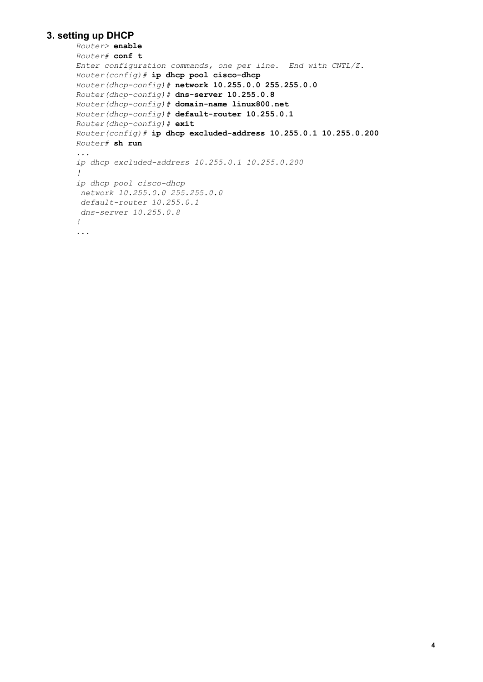# **3. setting up DHCP**

```
Router> enable
Router# conf t
Enter configuration commands, one per line. End with CNTL/Z.
Router(config)<sup>#</sup> ip dhcp pool cisco-dhcp
Router(dhcpconfig)# network 10.255.0.0 255.255.0.0
Router(dhep-config) # dns-server 10.255.0.8
Router(dhcp-config)# domain-name linux800.net
Router(dhep-config) # default-router 10.255.0.1
Router(dhep-config) # exit
Router(config)# ip dhcp excludedaddress 10.255.0.1 10.255.0.200
Router# sh run
...
ip dhcp excludedaddress 10.255.0.1 10.255.0.200
!
ip dhcp pool cisco-dhcp
network 10.255.0.0 255.255.0.0
defaultrouter 10.255.0.1
dnsserver 10.255.0.8
!
...
```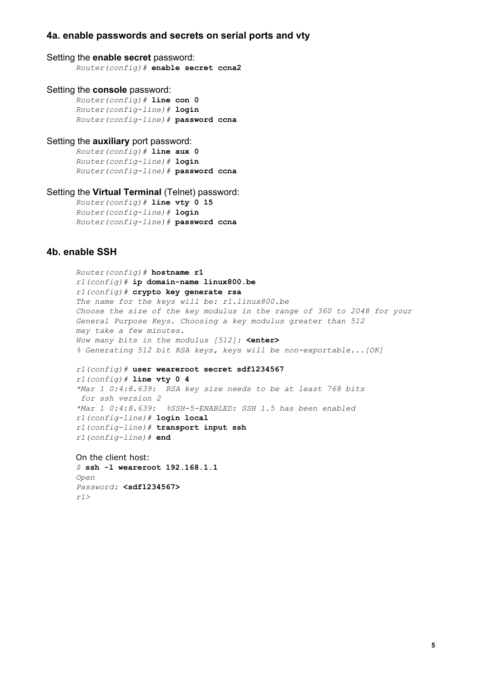# **4a. enable passwords and secrets on serial ports and vty**

#### Setting the **enable secret** password:

*Router(config)#* **enable secret ccna2**

#### Setting the **console** password:

*Router(config)#* **line con 0** *Router(configline)#* **login** *Router(configline)#* **password ccna**

#### Setting the **auxiliary** port password:

*Router(config)#* **line aux 0** *Router(configline)#* **login** *Router(configline)#* **password ccna**

#### Setting the **Virtual Terminal** (Telnet) password:

*Router(config)#* **line vty 0 15** *Router(configline)#* **login** *Router(configline)#* **password ccna**

# **4b. enable SSH**

*Router(config)#* **hostname r1** *r1(config)#* **ip domainname linux800.be** *r1(config)#* **crypto key generate rsa** *The name for the keys will be: r1.linux800.be Choose the size of the key modulus in the range of 360 to 2048 for your General Purpose Keys. Choosing a key modulus greater than 512 may take a few minutes. How many bits in the modulus [512]:* **<enter>** *% Generating 512 bit RSA keys, keys will be nonexportable...[OK] r1(config)#* **user weareroot secret sdf1234567** *r1(config)#* **line vty 0 4** *\*Mar 1 0:4:8.639: RSA key size needs to be at least 768 bits for ssh version 2 \*Mar 1 0:4:8.639: %SSH5ENABLED: SSH 1.5 has been enabled r1(configline)#* **login local** *r1(configline)#* **transport input ssh** *r1(configline)#* **end**

On the client host: *\$* **ssh l weareroot 192.168.1.1** *Open Password:* **<sdf1234567>** *r1>*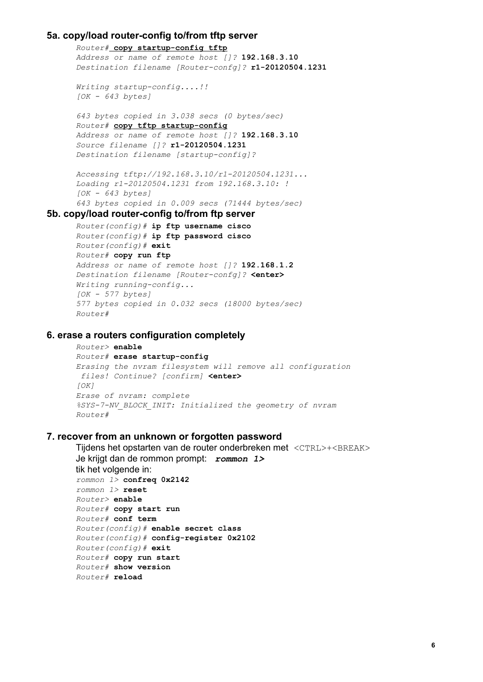# **5a. copy/load routerconfig to/from tftp server**

 $Router$  **copy** startup-config tftp *Address or name of remote host []?* **192.168.3.10** *Destination filename* [*Router-confg]?* r1-20120504.1231

```
Writing startup-config....!!
[OK  643 bytes]
```
*643 bytes copied in 3.038 secs (0 bytes/sec)*  $Router\#$  copy tftp startup-config *Address or name of remote host []?* **192.168.3.10** *Source filename []?* **r120120504.1231** *Destination filename [startupconfig]?*

```
Accessing tftp://192.168.3.10/r120120504.1231...
Loading r120120504.1231 from 192.168.3.10: !
[OK  643 bytes]
643 bytes copied in 0.009 secs (71444 bytes/sec)
```
# **5b. copy/load routerconfig to/from ftp server**

```
Router(config)# ip ftp username cisco
Router(config)# ip ftp password cisco
Router(config)# exit
Router# copy run ftp
Address or name of remote host []? 192.168.1.2
Destination filename [Routerconfg]? <enter>
Writing running-config...
[OK  577 bytes]
577 bytes copied in 0.032 secs (18000 bytes/sec)
Router#
```
### **6. erase a routers configuration completely**

```
Router> enable
Router# erase startup-config
Erasing the nvram filesystem will remove all configuration
files! Continue? [confirm] <enter>
[OK]
Erase of nvram: complete
%SYS7NV_BLOCK_INIT: Initialized the geometry of nvram
Router#
```
### **7. recover from an unknown or forgotten password**

```
Tijdens het opstarten van de router onderbreken met <CTRL>+<BREAK>
Je krijgt dan de rommon prompt: rommon 1>
tik het volgende in:
rommon 1> confreq 0x2142
rommon 1> reset
Router> enable
Router# copy start run
Router# conf term
Router(config)# enable secret class
Router(config)# configregister 0x2102
Router(config)# exit
Router# copy run start
Router# show version
Router# reload
```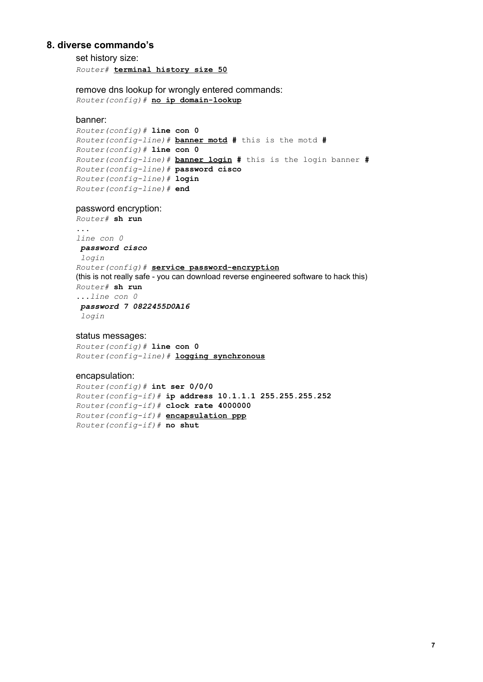# **8. diverse commando's**

set history size: *Router#* **terminal history size 50**

remove dns lookup for wrongly entered commands:  $Router(config)$  # **no** ip domain-lookup

#### banner:

```
Router(config)# line con 0
Router(configline)# banner motd # this is the motd #
Router(config)# line con 0
Router(configline)# banner login # this is the login banner #
Router(configline)# password cisco
Router(configline)# login
Router(configline)# end
```
#### password encryption:

```
Router# sh run
...
line con 0
password cisco
login
Router(config) # service password-encryption
(this is not really safe - you can download reverse engineered software to hack this)
Router# sh run
...line con 0
password 7 0822455D0A16
login
```
#### status messages:

*Router(config)#* **line con 0** *Router(configline)#* **logging synchronous**

#### encapsulation:

*Router(config)#* **int ser 0/0/0** *Router(configif)#* **ip address 10.1.1.1 255.255.255.252** *Router(configif)#* **clock rate 4000000** *Router(configif)#* **encapsulation ppp** *Router(configif)#* **no shut**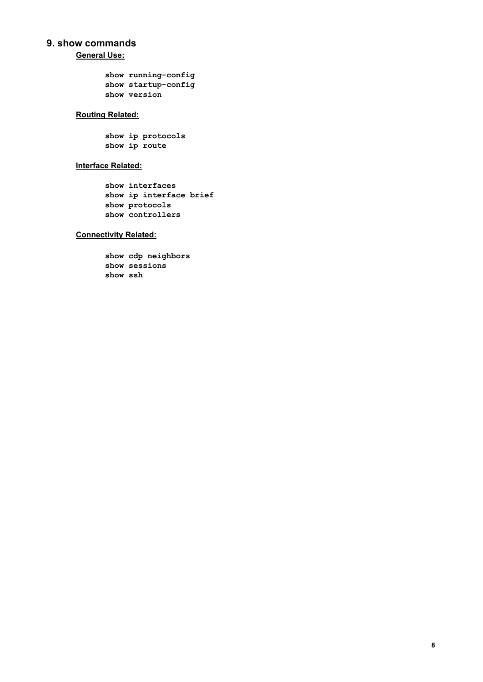# **9. show commands**

**General Use:**

```
show running-config
show startup-config
show version
```
# **Routing Related:**

**show ip protocols show ip route**

### **Interface Related:**

**show interfaces show ip interface brief show protocols show controllers**

#### **Connectivity Related:**

**show cdp neighbors show sessions show ssh**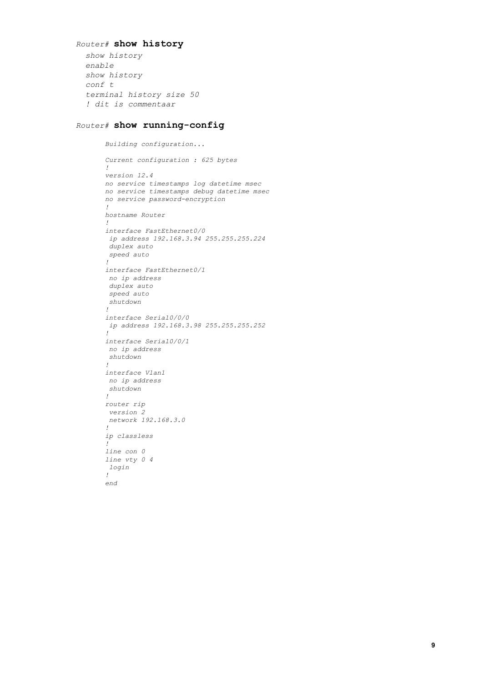### *Router#* **show history**

*show history enable show history conf t terminal history size 50 ! dit is commentaar*

#### $Router \#$  show running-config

*Building configuration... Current configuration : 625 bytes ! version 12.4 no service timestamps log datetime msec no service timestamps debug datetime msec no* service password-encryption *! hostname Router ! interface FastEthernet0/0 ip address 192.168.3.94 255.255.255.224 duplex auto speed auto ! interface FastEthernet0/1 no ip address duplex auto speed auto shutdown ! interface Serial0/0/0 ip address 192.168.3.98 255.255.255.252 ! interface Serial0/0/1 no ip address shutdown ! interface Vlan1 no ip address shutdown ! router rip version 2 network 192.168.3.0 ! ip classless ! line con 0 line vty 0 4 login ! end*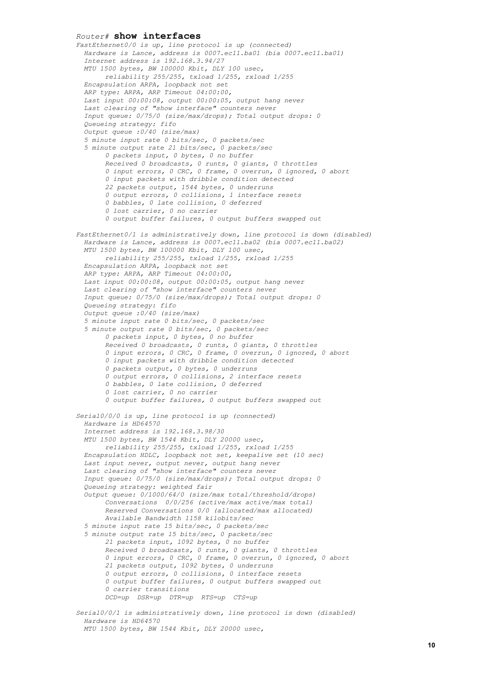*Router#* **show interfaces** *FastEthernet0/0 is up, line protocol is up (connected) Hardware is Lance, address is 0007.ec11.ba01 (bia 0007.ec11.ba01) Internet address is 192.168.3.94/27 MTU 1500 bytes, BW 100000 Kbit, DLY 100 usec, reliability 255/255, txload 1/255, rxload 1/255 Encapsulation ARPA, loopback not set ARP type: ARPA, ARP Timeout 04:00:00, Last input 00:00:08, output 00:00:05, output hang never Last clearing of "show interface" counters never Input queue: 0/75/0 (size/max/drops); Total output drops: 0 Queueing strategy: fifo Output queue :0/40 (size/max) 5 minute input rate 0 bits/sec, 0 packets/sec 5 minute output rate 21 bits/sec, 0 packets/sec 0 packets input, 0 bytes, 0 no buffer Received 0 broadcasts, 0 runts, 0 giants, 0 throttles 0 input errors, 0 CRC, 0 frame, 0 overrun, 0 ignored, 0 abort 0 input packets with dribble condition detected 22 packets output, 1544 bytes, 0 underruns 0 output errors, 0 collisions, 1 interface resets 0 babbles, 0 late collision, 0 deferred 0 lost carrier, 0 no carrier 0 output buffer failures, 0 output buffers swapped out FastEthernet0/1 is administratively down, line protocol is down (disabled) Hardware is Lance, address is 0007.ec11.ba02 (bia 0007.ec11.ba02) MTU 1500 bytes, BW 100000 Kbit, DLY 100 usec, reliability 255/255, txload 1/255, rxload 1/255 Encapsulation ARPA, loopback not set ARP type: ARPA, ARP Timeout 04:00:00, Last input 00:00:08, output 00:00:05, output hang never Last clearing of "show interface" counters never Input queue: 0/75/0 (size/max/drops); Total output drops: 0 Queueing strategy: fifo Output queue :0/40 (size/max) 5 minute input rate 0 bits/sec, 0 packets/sec 5 minute output rate 0 bits/sec, 0 packets/sec 0 packets input, 0 bytes, 0 no buffer Received 0 broadcasts, 0 runts, 0 giants, 0 throttles 0 input errors, 0 CRC, 0 frame, 0 overrun, 0 ignored, 0 abort 0 input packets with dribble condition detected 0 packets output, 0 bytes, 0 underruns 0 output errors, 0 collisions, 2 interface resets 0 babbles, 0 late collision, 0 deferred 0 lost carrier, 0 no carrier 0 output buffer failures, 0 output buffers swapped out Serial0/0/0 is up, line protocol is up (connected) Hardware is HD64570 Internet address is 192.168.3.98/30 MTU 1500 bytes, BW 1544 Kbit, DLY 20000 usec, reliability 255/255, txload 1/255, rxload 1/255 Encapsulation HDLC, loopback not set, keepalive set (10 sec) Last input never, output never, output hang never Last clearing of "show interface" counters never Input queue: 0/75/0 (size/max/drops); Total output drops: 0 Queueing strategy: weighted fair Output queue: 0/1000/64/0 (size/max total/threshold/drops) Conversations 0/0/256 (active/max active/max total) Reserved Conversations 0/0 (allocated/max allocated) Available Bandwidth 1158 kilobits/sec 5 minute input rate 15 bits/sec, 0 packets/sec 5 minute output rate 15 bits/sec, 0 packets/sec 21 packets input, 1092 bytes, 0 no buffer Received 0 broadcasts, 0 runts, 0 giants, 0 throttles 0 input errors, 0 CRC, 0 frame, 0 overrun, 0 ignored, 0 abort 21 packets output, 1092 bytes, 0 underruns 0 output errors, 0 collisions, 0 interface resets 0 output buffer failures, 0 output buffers swapped out 0 carrier transitions DCD=up DSR=up DTR=up RTS=up CTS=up Serial0/0/1 is administratively down, line protocol is down (disabled) Hardware is HD64570*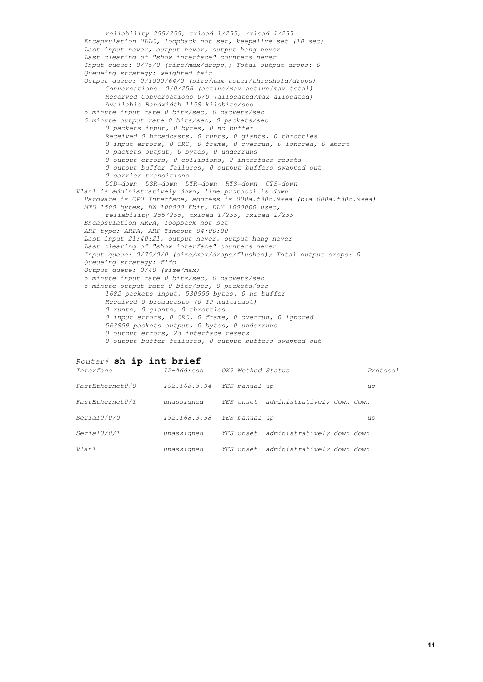*reliability 255/255, txload 1/255, rxload 1/255 Encapsulation HDLC, loopback not set, keepalive set (10 sec) Last input never, output never, output hang never Last clearing of "show interface" counters never Input queue: 0/75/0 (size/max/drops); Total output drops: 0 Queueing strategy: weighted fair Output queue: 0/1000/64/0 (size/max total/threshold/drops) Conversations 0/0/256 (active/max active/max total) Reserved Conversations 0/0 (allocated/max allocated) Available Bandwidth 1158 kilobits/sec 5 minute input rate 0 bits/sec, 0 packets/sec 5 minute output rate 0 bits/sec, 0 packets/sec 0 packets input, 0 bytes, 0 no buffer Received 0 broadcasts, 0 runts, 0 giants, 0 throttles 0 input errors, 0 CRC, 0 frame, 0 overrun, 0 ignored, 0 abort 0 packets output, 0 bytes, 0 underruns 0 output errors, 0 collisions, 2 interface resets 0 output buffer failures, 0 output buffers swapped out 0 carrier transitions DCD=down DSR=down DTR=down RTS=down CTS=down Vlan1 is administratively down, line protocol is down Hardware is CPU Interface, address is 000a.f30c.9aea (bia 000a.f30c.9aea) MTU 1500 bytes, BW 100000 Kbit, DLY 1000000 usec, reliability 255/255, txload 1/255, rxload 1/255 Encapsulation ARPA, loopback not set ARP type: ARPA, ARP Timeout 04:00:00 Last input 21:40:21, output never, output hang never Last clearing of "show interface" counters never Input queue: 0/75/0/0 (size/max/drops/flushes); Total output drops: 0 Queueing strategy: fifo Output queue: 0/40 (size/max) 5 minute input rate 0 bits/sec, 0 packets/sec 5 minute output rate 0 bits/sec, 0 packets/sec 1682 packets input, 530955 bytes, 0 no buffer Received 0 broadcasts (0 IP multicast) 0 runts, 0 giants, 0 throttles 0 input errors, 0 CRC, 0 frame, 0 overrun, 0 ignored 563859 packets output, 0 bytes, 0 underruns 0 output errors, 23 interface resets 0 output buffer failures, 0 output buffers swapped out*

#### *Router#* **sh ip int brief**

| Interface       | IP-Address   | OK? Method Status |                            | Protocol |
|-----------------|--------------|-------------------|----------------------------|----------|
| FastEthernet0/0 | 192.168.3.94 | YES manual up     |                            | up       |
| FastEthernet0/1 | unassigned   | YES unset         | administratively down down |          |
| Serial0/0/0     | 192.168.3.98 | YES manual up     |                            | up       |
| Serial0/0/1     | unassigned   | YES unset         | administratively down down |          |
| V1an1           | unassigned   | YES unset         | administratively down down |          |